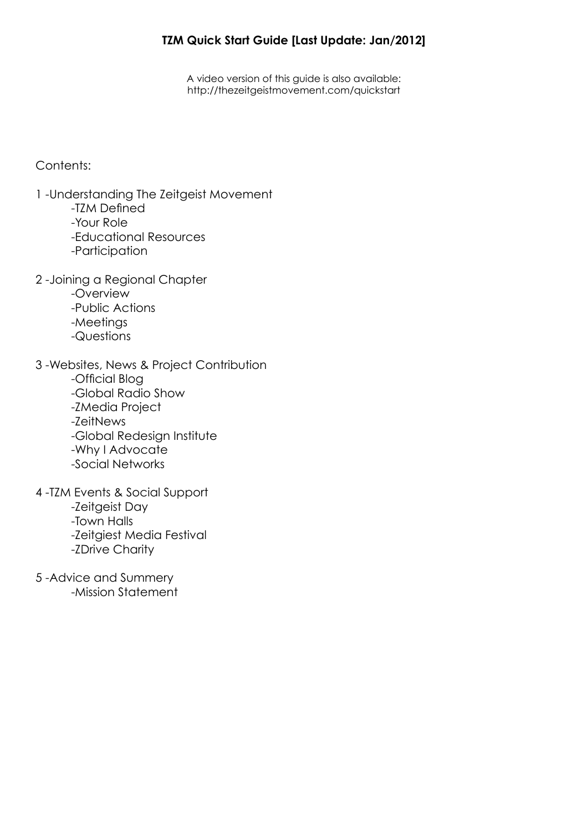## **TZM Quick Start Guide [Last Update: Jan/2012]**

A video version of this guide is also available: <http://thezeitgeistmovement.com/quickstart>

### Contents:

- 1 -Understanding The Zeitgeist Movement
	- -TZM Defined
	- -Your Role
	- -Educational Resources
	- -Participation
- 2 -Joining a Regional Chapter
	- -Overview
	- -Public Actions
	- -Meetings
	- -Questions
- 3 -Websites, News & Project Contribution -Official Blog -Global Radio Show -ZMedia Project
	- -ZeitNews
	- -Global Redesign Institute
	- -Why I Advocate
	- -Social Networks
- 4 -TZM Events & Social Support
	- -Zeitgeist Day
	- -Town Halls
	- -Zeitgiest Media Festival
	- -ZDrive Charity
- 5 -Advice and Summery -Mission Statement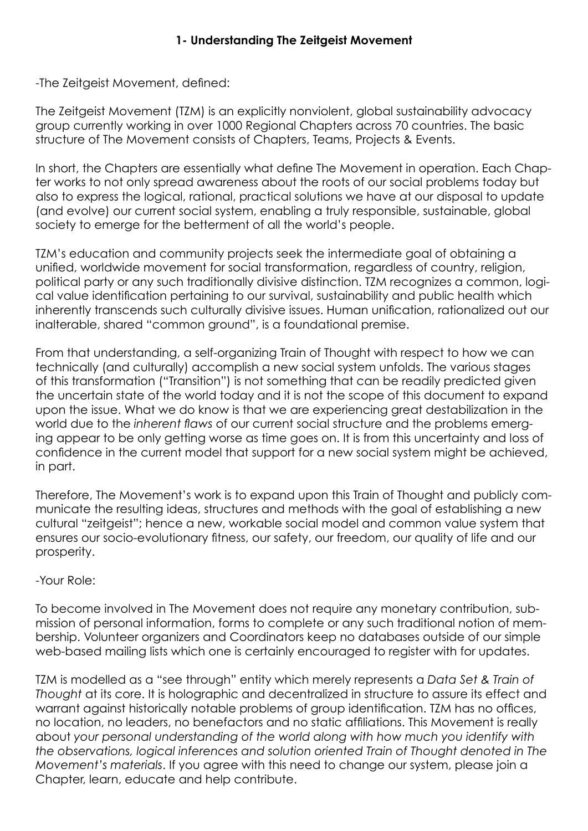-The Zeitgeist Movement, defined:

The Zeitgeist Movement (TZM) is an explicitly nonviolent, global sustainability advocacy group currently working in over 1000 Regional Chapters across 70 countries. The basic structure of The Movement consists of Chapters, Teams, Projects & Events.

In short, the Chapters are essentially what define The Movement in operation. Each Chapter works to not only spread awareness about the roots of our social problems today but also to express the logical, rational, practical solutions we have at our disposal to update (and evolve) our current social system, enabling a truly responsible, sustainable, global society to emerge for the betterment of all the world's people.

TZM's education and community projects seek the intermediate goal of obtaining a unified, worldwide movement for social transformation, regardless of country, religion, political party or any such traditionally divisive distinction. TZM recognizes a common, logical value identification pertaining to our survival, sustainability and public health which inherently transcends such culturally divisive issues. Human unification, rationalized out our inalterable, shared "common ground", is a foundational premise.

From that understanding, a self-organizing Train of Thought with respect to how we can technically (and culturally) accomplish a new social system unfolds. The various stages of this transformation ("Transition") is not something that can be readily predicted given the uncertain state of the world today and it is not the scope of this document to expand upon the issue. What we do know is that we are experiencing great destabilization in the world due to the *inherent flaws* of our current social structure and the problems emerging appear to be only getting worse as time goes on. It is from this uncertainty and loss of confidence in the current model that support for a new social system might be achieved, in part.

Therefore, The Movement's work is to expand upon this Train of Thought and publicly communicate the resulting ideas, structures and methods with the goal of establishing a new cultural "zeitgeist"; hence a new, workable social model and common value system that ensures our socio-evolutionary fitness, our safety, our freedom, our quality of life and our prosperity.

## -Your Role:

To become involved in The Movement does not require any monetary contribution, submission of personal information, forms to complete or any such traditional notion of membership. Volunteer organizers and Coordinators keep no databases outside of our simple web-based mailing lists which one is certainly encouraged to register with for updates.

TZM is modelled as a "see through" entity which merely represents a *Data Set & Train of Thought* at its core. It is holographic and decentralized in structure to assure its effect and warrant against historically notable problems of group identification. TZM has no offices, no location, no leaders, no benefactors and no static affiliations. This Movement is really about *your personal understanding of the world along with how much you identify with the observations, logical inferences and solution oriented Train of Thought denoted in The Movement's materials*. If you agree with this need to change our system, please join a Chapter, learn, educate and help contribute.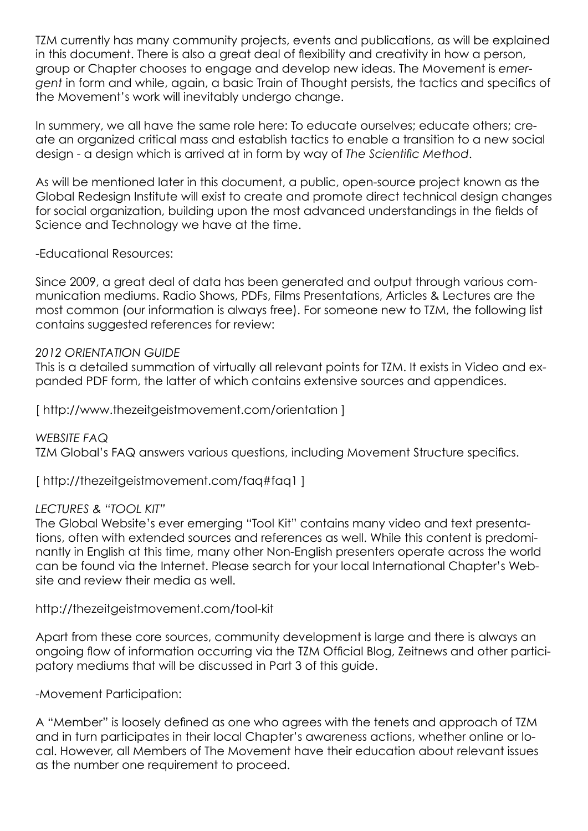TZM currently has many community projects, events and publications, as will be explained in this document. There is also a great deal of flexibility and creativity in how a person, group or Chapter chooses to engage and develop new ideas. The Movement is *emergent* in form and while, again, a basic Train of Thought persists, the tactics and specifics of the Movement's work will inevitably undergo change.

In summery, we all have the same role here: To educate ourselves; educate others; create an organized critical mass and establish tactics to enable a transition to a new social design - a design which is arrived at in form by way of *The Scientific Method*.

As will be mentioned later in this document, a public, open-source project known as the Global Redesign Institute will exist to create and promote direct technical design changes for social organization, building upon the most advanced understandings in the fields of Science and Technology we have at the time.

### -Educational Resources:

Since 2009, a great deal of data has been generated and output through various communication mediums. Radio Shows, PDFs, Films Presentations, Articles & Lectures are the most common (our information is always free). For someone new to TZM, the following list contains suggested references for review:

### *2012 ORIENTATION GUIDE*

This is a detailed summation of virtually all relevant points for TZM. It exists in Video and expanded PDF form, the latter of which contains extensive sources and appendices.

[ <http://www.thezeitgeistmovement.com/orientation> ]

*WEBSITE FAQ*  TZM Global's FAQ answers various questions, including Movement Structure specifics.

[ <http://thezeitgeistmovement.com/faq>#faq1 ]

### *LECTURES & "TOOL KIT"*

The Global Website's ever emerging "Tool Kit" contains many video and text presentations, often with extended sources and references as well. While this content is predominantly in English at this time, many other Non-English presenters operate across the world can be found via the Internet. Please search for your local International Chapter's Website and review their media as well.

[http://thezeitgeistmovement.com/tool-](http://thezeitgeistmovement.com/tool)kit

Apart from these core sources, community development is large and there is always an ongoing flow of information occurring via the TZM Official Blog, Zeitnews and other participatory mediums that will be discussed in Part 3 of this guide.

### -Movement Participation:

A "Member" is loosely defined as one who agrees with the tenets and approach of TZM and in turn participates in their local Chapter's awareness actions, whether online or local. However, all Members of The Movement have their education about relevant issues as the number one requirement to proceed.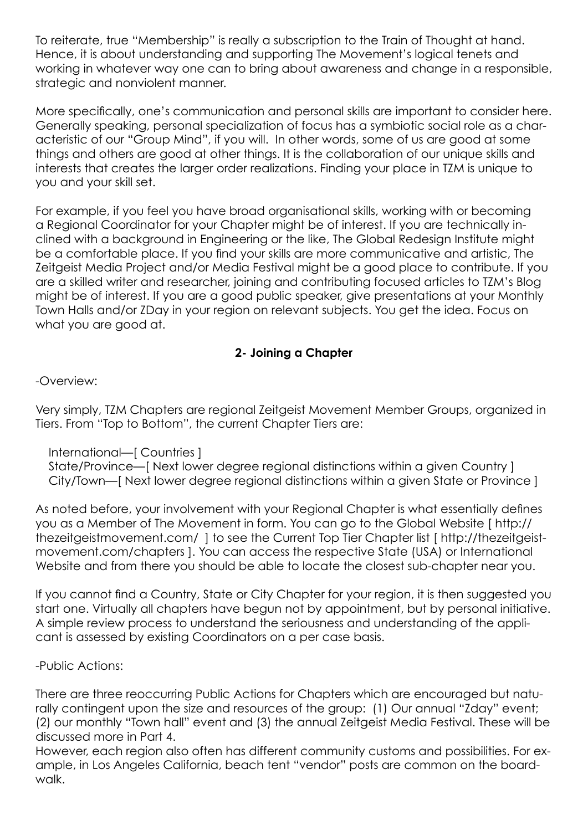To reiterate, true "Membership" is really a subscription to the Train of Thought at hand. Hence, it is about understanding and supporting The Movement's logical tenets and working in whatever way one can to bring about awareness and change in a responsible, strategic and nonviolent manner.

More specifically, one's communication and personal skills are important to consider here. Generally speaking, personal specialization of focus has a symbiotic social role as a characteristic of our "Group Mind", if you will. In other words, some of us are good at some things and others are good at other things. It is the collaboration of our unique skills and interests that creates the larger order realizations. Finding your place in TZM is unique to you and your skill set.

For example, if you feel you have broad organisational skills, working with or becoming a Regional Coordinator for your Chapter might be of interest. If you are technically inclined with a background in Engineering or the like, The Global Redesign Institute might be a comfortable place. If you find your skills are more communicative and artistic, The Zeitgeist Media Project and/or Media Festival might be a good place to contribute. If you are a skilled writer and researcher, joining and contributing focused articles to TZM's Blog might be of interest. If you are a good public speaker, give presentations at your Monthly Town Halls and/or ZDay in your region on relevant subjects. You get the idea. Focus on what you are good at.

## **2- Joining a Chapter**

-Overview:

Very simply, TZM Chapters are regional Zeitgeist Movement Member Groups, organized in Tiers. From "Top to Bottom", the current Chapter Tiers are:

## International—[ Countries ]

 State/Province—[ Next lower degree regional distinctions within a given Country ] City/Town—[ Next lower degree regional distinctions within a given State or Province ]

As noted before, your involvement with your Regional Chapter is what essentially defines you as a Member of The Movement in form. You can go to the Global Website [ [http://](http://thezeitgeistmovement.com) [thezeitgeistmovement.com/](http://thezeitgeistmovement.com) ] to see the Current Top Tier Chapter list [ [http://thezeitgeist](http://thezeitgeistmovement.com/chapters)[movement.com/chapters](http://thezeitgeistmovement.com/chapters) ]. You can access the respective State (USA) or International Website and from there you should be able to locate the closest sub-chapter near you.

If you cannot find a Country, State or City Chapter for your region, it is then suggested you start one. Virtually all chapters have begun not by appointment, but by personal initiative. A simple review process to understand the seriousness and understanding of the applicant is assessed by existing Coordinators on a per case basis.

## -Public Actions:

There are three reoccurring Public Actions for Chapters which are encouraged but naturally contingent upon the size and resources of the group: (1) Our annual "Zday" event; (2) our monthly "Town hall" event and (3) the annual Zeitgeist Media Festival. These will be discussed more in Part 4.

However, each region also often has different community customs and possibilities. For example, in Los Angeles California, beach tent "vendor" posts are common on the boardwalk.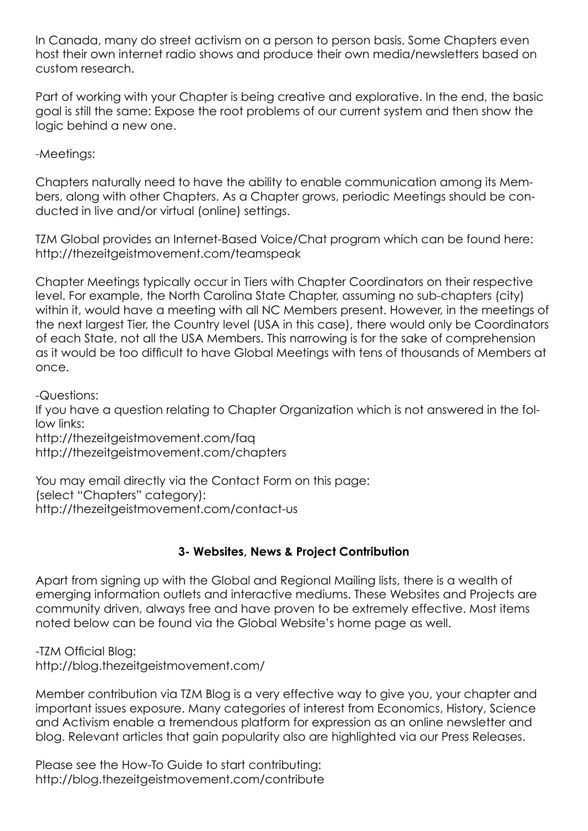In Canada, many do street activism on a person to person basis. Some Chapters even host their own internet radio shows and produce their own media/newsletters based on custom research.

Part of working with your Chapter is being creative and explorative. In the end, the basic goal is still the same: Expose the root problems of our current system and then show the logic behind a new one.

-Meetings:

Chapters naturally need to have the ability to enable communication among its Members, along with other Chapters. As a Chapter grows, periodic Meetings should be conducted in live and/or virtual (online) settings.

TZM Global provides an Internet-Based Voice/Chat program which can be found here: <http://thezeitgeistmovement.com/teamspeak>

Chapter Meetings typically occur in Tiers with Chapter Coordinators on their respective level. For example, the North Carolina State Chapter, assuming no sub-chapters (city) within it, would have a meeting with all NC Members present. However, in the meetings of the next largest Tier, the Country level (USA in this case), there would only be Coordinators of each State, not all the USA Members. This narrowing is for the sake of comprehension as it would be too difficult to have Global Meetings with tens of thousands of Members at once.

-Questions:

If you have a question relating to Chapter Organization which is not answered in the follow links:

<http://thezeitgeistmovement.com/faq> <http://thezeitgeistmovement.com/chapters>

You may email directly via the Contact Form on this page: (select "Chapters" category): <http://thezeitgeistmovement.com/contact>-us

## **3- Websites, News & Project Contribution**

Apart from signing up with the Global and Regional Mailing lists, there is a wealth of emerging information outlets and interactive mediums. These Websites and Projects are community driven, always free and have proven to be extremely effective. Most items noted below can be found via the Global Website's home page as well.

-TZM Official Blog: <http://blog.thezeitgeistmovement.com>/

Member contribution via TZM Blog is a very effective way to give you, your chapter and important issues exposure. Many categories of interest from Economics, History, Science and Activism enable a tremendous platform for expression as an online newsletter and blog. Relevant articles that gain popularity also are highlighted via our Press Releases.

Please see the How-To Guide to start contributing: <http://blog.thezeitgeistmovement.com/contribute>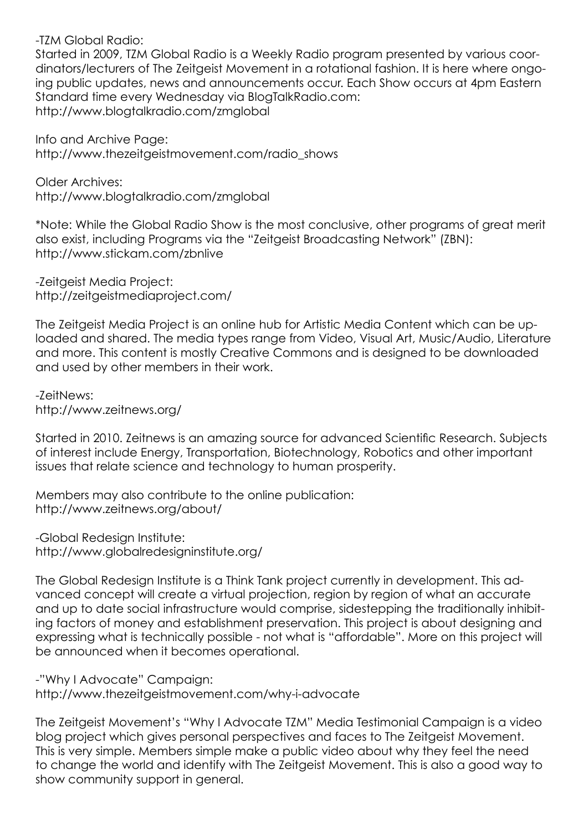-TZM Global Radio:

Started in 2009, TZM Global Radio is a Weekly Radio program presented by various coordinators/lecturers of The Zeitgeist Movement in a rotational fashion. It is here where ongoing public updates, news and announcements occur. Each Show occurs at 4pm Eastern Standard time every Wednesday via [BlogTalkRadio.com:](BlogTalkRadio.com) <http://www.blogtalkradio.com/zmglobal>

Info and Archive Page: [http://www.thezeitgeistmovement.com/radio\\_shows](http://www.thezeitgeistmovement.com/radio_shows)

Older Archives: <http://www.blogtalkradio.com/zmglobal>

\*Note: While the Global Radio Show is the most conclusive, other programs of great merit also exist, including Programs via the "Zeitgeist Broadcasting Network" (ZBN): <http://www.stickam.com/zbnlive>

-Zeitgeist Media Project: [http://zeitgeistmediaproject.com/](http://zeitgeistmediaproject.com)

The Zeitgeist Media Project is an online hub for Artistic Media Content which can be uploaded and shared. The media types range from Video, Visual Art, Music/Audio, Literature and more. This content is mostly Creative Commons and is designed to be downloaded and used by other members in their work.

-ZeitNews: [http://www.zeitnews.org/](http://www.zeitnews.org)

Started in 2010. Zeitnews is an amazing source for advanced Scientific Research. Subjects of interest include Energy, Transportation, Biotechnology, Robotics and other important issues that relate science and technology to human prosperity.

Members may also contribute to the online publication: [http://www.zeitnews.org/about/](http://www.zeitnews.org/about)

-Global Redesign Institute: [http://www.globalredesigninstitute.org/](http://www.globalredesigninstitute.org)

The Global Redesign Institute is a Think Tank project currently in development. This advanced concept will create a virtual projection, region by region of what an accurate and up to date social infrastructure would comprise, sidestepping the traditionally inhibiting factors of money and establishment preservation. This project is about designing and expressing what is technically possible - not what is "affordable". More on this project will be announced when it becomes operational.

-"Why I Advocate" Campaign: <http://www.thezeitgeistmovement.com/why>-i-advocate

The Zeitgeist Movement's "Why I Advocate TZM" Media Testimonial Campaign is a video blog project which gives personal perspectives and faces to The Zeitgeist Movement. This is very simple. Members simple make a public video about why they feel the need to change the world and identify with The Zeitgeist Movement. This is also a good way to show community support in general.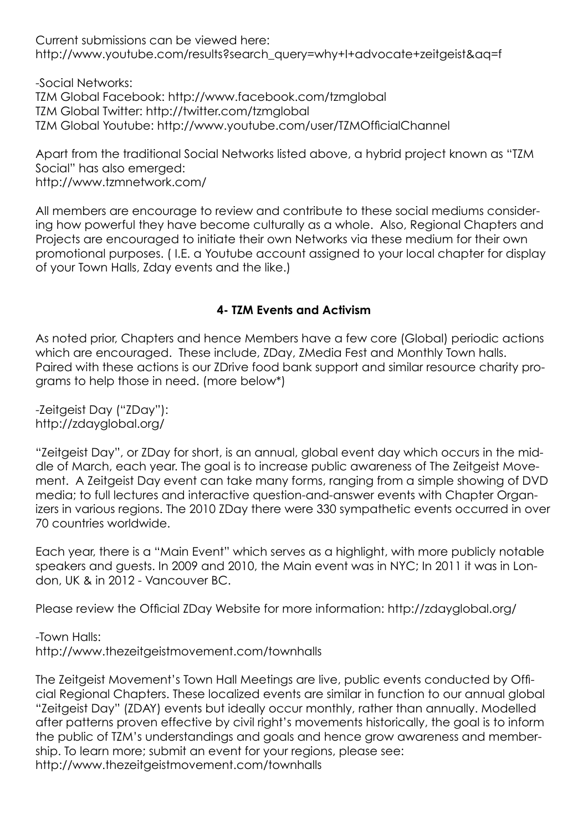Current submissions can be viewed here: http://www.youtube.com/results?search\_query=why+I+advocate+zeitgeist&ag=f

-Social Networks:

TZM Global Facebook:<http://www.facebook.com/tzmglobal>

TZM Global Twitter: <http://twitter.com/tzmglobal>

TZM Global Youtube: <http://www.youtube.com/user/TZMOfficialChannel>

Apart from the traditional Social Networks listed above, a hybrid project known as "TZM Social" has also emerged: [http://www.tzmnetwork.com/](http://www.tzmnetwork.com)

All members are encourage to review and contribute to these social mediums considering how powerful they have become culturally as a whole. Also, Regional Chapters and Projects are encouraged to initiate their own Networks via these medium for their own promotional purposes. ( I.E. a Youtube account assigned to your local chapter for display of your Town Halls, Zday events and the like.)

# **4- TZM Events and Activism**

As noted prior, Chapters and hence Members have a few core (Global) periodic actions which are encouraged. These include, ZDay, ZMedia Fest and Monthly Town halls. Paired with these actions is our ZDrive food bank support and similar resource charity programs to help those in need. (more below\*)

-Zeitgeist Day ("ZDay"): <http://zdayglobal.org>/

"Zeitgeist Day", or ZDay for short, is an annual, global event day which occurs in the middle of March, each year. The goal is to increase public awareness of The Zeitgeist Movement. A Zeitgeist Day event can take many forms, ranging from a simple showing of DVD media; to full lectures and interactive question-and-answer events with Chapter Organizers in various regions. The 2010 ZDay there were 330 sympathetic events occurred in over 70 countries worldwide.

Each year, there is a "Main Event" which serves as a highlight, with more publicly notable speakers and guests. In 2009 and 2010, the Main event was in NYC; In 2011 it was in London, UK & in 2012 - Vancouver BC.

Please review the Official ZDay Website for more information: <http://zdayglobal.org>/

-Town Halls: <http://www.thezeitgeistmovement.com/townhalls>

The Zeitgeist Movement's Town Hall Meetings are live, public events conducted by Official Regional Chapters. These localized events are similar in function to our annual global "Zeitgeist Day" (ZDAY) events but ideally occur monthly, rather than annually. Modelled after patterns proven effective by civil right's movements historically, the goal is to inform the public of TZM's understandings and goals and hence grow awareness and membership. To learn more; submit an event for your regions, please see: <http://www.thezeitgeistmovement.com/townhalls>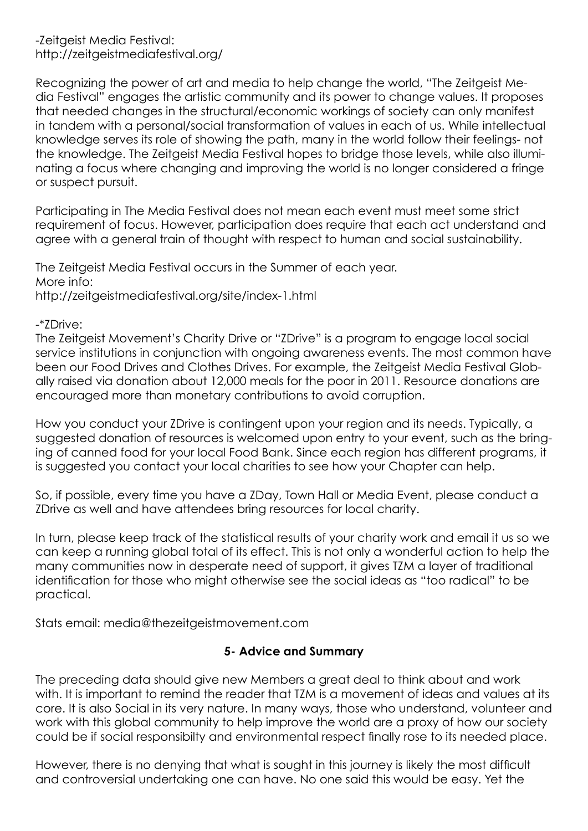Recognizing the power of art and media to help change the world, "The Zeitgeist Media Festival" engages the artistic community and its power to change values. It proposes that needed changes in the structural/economic workings of society can only manifest in tandem with a personal/social transformation of values in each of us. While intellectual knowledge serves its role of showing the path, many in the world follow their feelings- not the knowledge. The Zeitgeist Media Festival hopes to bridge those levels, while also illuminating a focus where changing and improving the world is no longer considered a fringe or suspect pursuit.

Participating in The Media Festival does not mean each event must meet some strict requirement of focus. However, participation does require that each act understand and agree with a general train of thought with respect to human and social sustainability.

The Zeitgeist Media Festival occurs in the Summer of each year. More info: <http://zeitgeistmediafestival.org/site/index-1.html>

-\*ZDrive:

The Zeitgeist Movement's Charity Drive or "ZDrive" is a program to engage local social service institutions in conjunction with ongoing awareness events. The most common have been our Food Drives and Clothes Drives. For example, the Zeitgeist Media Festival Globally raised via donation about 12,000 meals for the poor in 2011. Resource donations are encouraged more than monetary contributions to avoid corruption.

How you conduct your ZDrive is contingent upon your region and its needs. Typically, a suggested donation of resources is welcomed upon entry to your event, such as the bringing of canned food for your local Food Bank. Since each region has different programs, it is suggested you contact your local charities to see how your Chapter can help.

So, if possible, every time you have a ZDay, Town Hall or Media Event, please conduct a ZDrive as well and have attendees bring resources for local charity.

In turn, please keep track of the statistical results of your charity work and email it us so we can keep a running global total of its effect. This is not only a wonderful action to help the many communities now in desperate need of support, it gives TZM a layer of traditional identification for those who might otherwise see the social ideas as "too radical" to be practical.

Stats email: [media@thezeitgeistmovement.com](mailto:media@thezeitgeistmovement.com)

## **5- Advice and Summary**

The preceding data should give new Members a great deal to think about and work with. It is important to remind the reader that TZM is a movement of ideas and values at its core. It is also Social in its very nature. In many ways, those who understand, volunteer and work with this global community to help improve the world are a proxy of how our society could be if social responsibilty and environmental respect finally rose to its needed place.

However, there is no denying that what is sought in this journey is likely the most difficult and controversial undertaking one can have. No one said this would be easy. Yet the